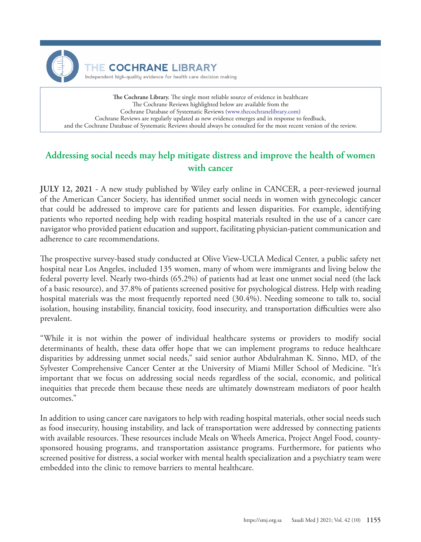

**The Cochrane Library.** The single most reliable source of evidence in healthcare The Cochrane Reviews highlighted below are available from the Cochrane Database of Systematic Reviews ([www.thecochranelibrary.com](http://eu.wiley.com/WileyCDA/Section/id-397743,view-journal,journalCd-TCL.html)) Cochrane Reviews are regularly updated as new evidence emerges and in response to feedback, and the Cochrane Database of Systematic Reviews should always be consulted for the most recent version of the review.

## **Addressing social needs may help mitigate distress and improve the health of women with cancer**

**JULY 12, 2021** - A new study published by Wiley early online in CANCER, a peer-reviewed journal of the American Cancer Society, has identified unmet social needs in women with gynecologic cancer that could be addressed to improve care for patients and lessen disparities. For example, identifying patients who reported needing help with reading hospital materials resulted in the use of a cancer care navigator who provided patient education and support, facilitating physician-patient communication and adherence to care recommendations.

The prospective survey-based study conducted at Olive View-UCLA Medical Center, a public safety net hospital near Los Angeles, included 135 women, many of whom were immigrants and living below the federal poverty level. Nearly two-thirds (65.2%) of patients had at least one unmet social need (the lack of a basic resource), and 37.8% of patients screened positive for psychological distress. Help with reading hospital materials was the most frequently reported need (30.4%). Needing someone to talk to, social isolation, housing instability, financial toxicity, food insecurity, and transportation difficulties were also prevalent.

"While it is not within the power of individual healthcare systems or providers to modify social determinants of health, these data offer hope that we can implement programs to reduce healthcare disparities by addressing unmet social needs," said senior author Abdulrahman K. Sinno, MD, of the Sylvester Comprehensive Cancer Center at the University of Miami Miller School of Medicine. "It's important that we focus on addressing social needs regardless of the social, economic, and political inequities that precede them because these needs are ultimately downstream mediators of poor health outcomes."

In addition to using cancer care navigators to help with reading hospital materials, other social needs such as food insecurity, housing instability, and lack of transportation were addressed by connecting patients with available resources. These resources include Meals on Wheels America, Project Angel Food, countysponsored housing programs, and transportation assistance programs. Furthermore, for patients who screened positive for distress, a social worker with mental health specialization and a psychiatry team were embedded into the clinic to remove barriers to mental healthcare.